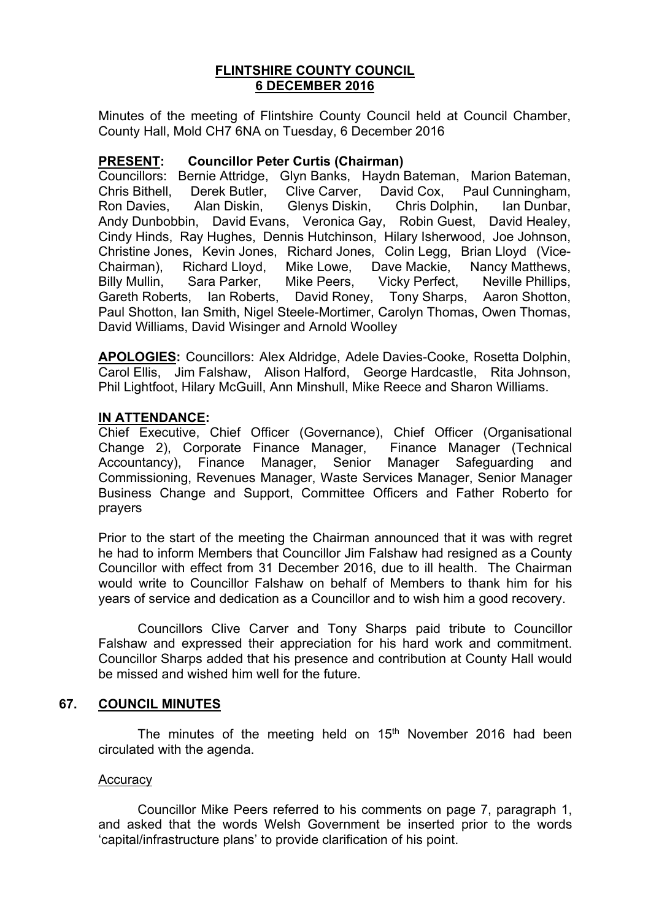## **FLINTSHIRE COUNTY COUNCIL 6 DECEMBER 2016**

Minutes of the meeting of Flintshire County Council held at Council Chamber, County Hall, Mold CH7 6NA on Tuesday, 6 December 2016

## **PRESENT: Councillor Peter Curtis (Chairman)**

Councillors: Bernie Attridge, Glyn Banks, Haydn Bateman, Marion Bateman, Chris Bithell, Derek Butler, Clive Carver, David Cox, Paul Cunningham, Ron Davies, Alan Diskin, Glenys Diskin, Chris Dolphin, Ian Dunbar, Andy Dunbobbin, David Evans, Veronica Gay, Robin Guest, David Healey, Cindy Hinds, Ray Hughes, Dennis Hutchinson, Hilary Isherwood, Joe Johnson, Christine Jones, Kevin Jones, Richard Jones, Colin Legg, Brian Lloyd (Vice-Chairman), Richard Lloyd, Mike Lowe, Dave Mackie, Nancy Matthews, Billy Mullin, Sara Parker, Mike Peers, Vicky Perfect, Neville Phillips, Gareth Roberts, Ian Roberts, David Roney, Tony Sharps, Aaron Shotton, Paul Shotton, Ian Smith, Nigel Steele-Mortimer, Carolyn Thomas, Owen Thomas, David Williams, David Wisinger and Arnold Woolley

**APOLOGIES:** Councillors: Alex Aldridge, Adele Davies-Cooke, Rosetta Dolphin, Carol Ellis, Jim Falshaw, Alison Halford, George Hardcastle, Rita Johnson, Phil Lightfoot, Hilary McGuill, Ann Minshull, Mike Reece and Sharon Williams.

# **IN ATTENDANCE:**

Chief Executive, Chief Officer (Governance), Chief Officer (Organisational Change 2), Corporate Finance Manager, Finance Manager (Technical Accountancy), Finance Manager, Senior Manager Safeguarding and Commissioning, Revenues Manager, Waste Services Manager, Senior Manager Business Change and Support, Committee Officers and Father Roberto for prayers

Prior to the start of the meeting the Chairman announced that it was with regret he had to inform Members that Councillor Jim Falshaw had resigned as a County Councillor with effect from 31 December 2016, due to ill health. The Chairman would write to Councillor Falshaw on behalf of Members to thank him for his years of service and dedication as a Councillor and to wish him a good recovery.

Councillors Clive Carver and Tony Sharps paid tribute to Councillor Falshaw and expressed their appreciation for his hard work and commitment. Councillor Sharps added that his presence and contribution at County Hall would be missed and wished him well for the future.

## **67. COUNCIL MINUTES**

The minutes of the meeting held on 15<sup>th</sup> November 2016 had been circulated with the agenda.

### **Accuracy**

Councillor Mike Peers referred to his comments on page 7, paragraph 1, and asked that the words Welsh Government be inserted prior to the words 'capital/infrastructure plans' to provide clarification of his point.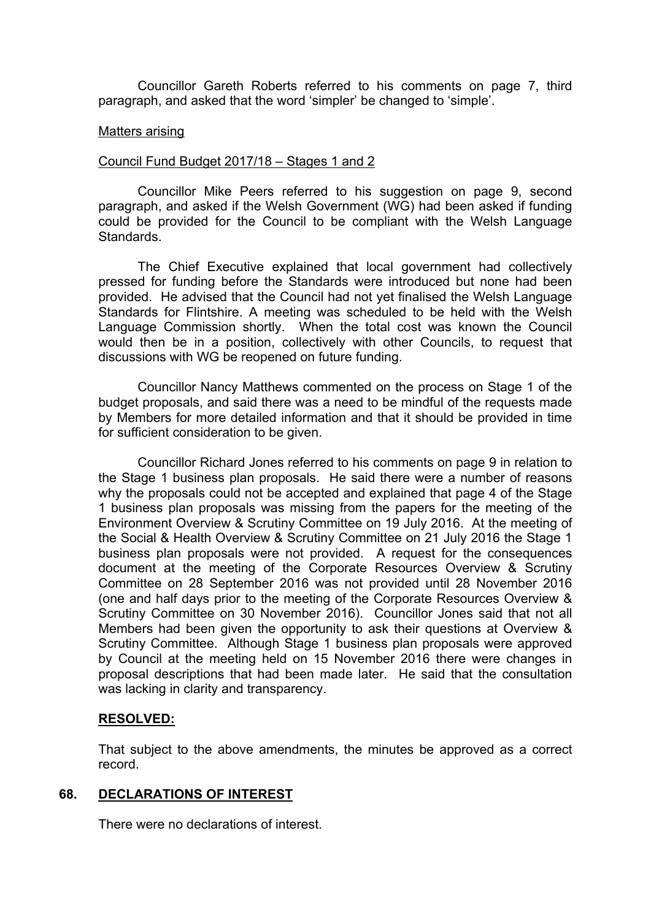Councillor Gareth Roberts referred to his comments on page 7, third paragraph, and asked that the word 'simpler' be changed to 'simple'.

#### Matters arising

### Council Fund Budget 2017/18 – Stages 1 and 2

Councillor Mike Peers referred to his suggestion on page 9, second paragraph, and asked if the Welsh Government (WG) had been asked if funding could be provided for the Council to be compliant with the Welsh Language Standards.

The Chief Executive explained that local government had collectively pressed for funding before the Standards were introduced but none had been provided. He advised that the Council had not yet finalised the Welsh Language Standards for Flintshire. A meeting was scheduled to be held with the Welsh Language Commission shortly. When the total cost was known the Council would then be in a position, collectively with other Councils, to request that discussions with WG be reopened on future funding.

Councillor Nancy Matthews commented on the process on Stage 1 of the budget proposals, and said there was a need to be mindful of the requests made by Members for more detailed information and that it should be provided in time for sufficient consideration to be given.

Councillor Richard Jones referred to his comments on page 9 in relation to the Stage 1 business plan proposals. He said there were a number of reasons why the proposals could not be accepted and explained that page 4 of the Stage 1 business plan proposals was missing from the papers for the meeting of the Environment Overview & Scrutiny Committee on 19 July 2016. At the meeting of the Social & Health Overview & Scrutiny Committee on 21 July 2016 the Stage 1 business plan proposals were not provided. A request for the consequences document at the meeting of the Corporate Resources Overview & Scrutiny Committee on 28 September 2016 was not provided until 28 November 2016 (one and half days prior to the meeting of the Corporate Resources Overview & Scrutiny Committee on 30 November 2016). Councillor Jones said that not all Members had been given the opportunity to ask their questions at Overview & Scrutiny Committee. Although Stage 1 business plan proposals were approved by Council at the meeting held on 15 November 2016 there were changes in proposal descriptions that had been made later. He said that the consultation was lacking in clarity and transparency.

### **RESOLVED:**

That subject to the above amendments, the minutes be approved as a correct record.

### **68. DECLARATIONS OF INTEREST**

There were no declarations of interest.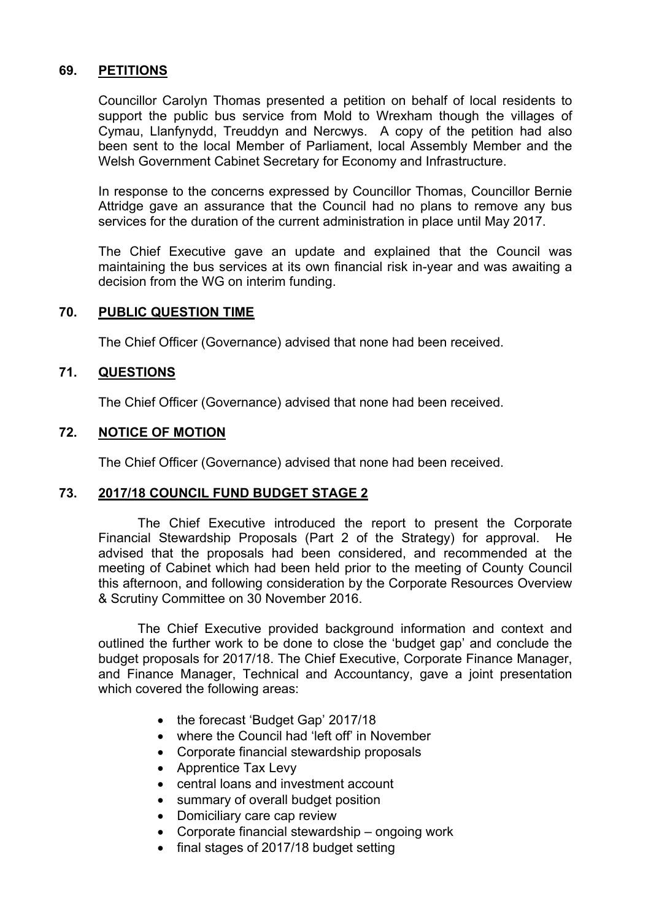# **69. PETITIONS**

Councillor Carolyn Thomas presented a petition on behalf of local residents to support the public bus service from Mold to Wrexham though the villages of Cymau, Llanfynydd, Treuddyn and Nercwys. A copy of the petition had also been sent to the local Member of Parliament, local Assembly Member and the Welsh Government Cabinet Secretary for Economy and Infrastructure.

In response to the concerns expressed by Councillor Thomas, Councillor Bernie Attridge gave an assurance that the Council had no plans to remove any bus services for the duration of the current administration in place until May 2017.

The Chief Executive gave an update and explained that the Council was maintaining the bus services at its own financial risk in-year and was awaiting a decision from the WG on interim funding.

## **70. PUBLIC QUESTION TIME**

The Chief Officer (Governance) advised that none had been received.

## **71. QUESTIONS**

The Chief Officer (Governance) advised that none had been received.

## **72. NOTICE OF MOTION**

The Chief Officer (Governance) advised that none had been received.

## **73. 2017/18 COUNCIL FUND BUDGET STAGE 2**

The Chief Executive introduced the report to present the Corporate Financial Stewardship Proposals (Part 2 of the Strategy) for approval. He advised that the proposals had been considered, and recommended at the meeting of Cabinet which had been held prior to the meeting of County Council this afternoon, and following consideration by the Corporate Resources Overview & Scrutiny Committee on 30 November 2016.

The Chief Executive provided background information and context and outlined the further work to be done to close the 'budget gap' and conclude the budget proposals for 2017/18. The Chief Executive, Corporate Finance Manager, and Finance Manager, Technical and Accountancy, gave a joint presentation which covered the following areas:

- the forecast 'Budget Gap' 2017/18
- where the Council had 'left off' in November
- Corporate financial stewardship proposals
- Apprentice Tax Levy
- central loans and investment account
- summary of overall budget position
- Domiciliary care cap review
- Corporate financial stewardship ongoing work
- final stages of 2017/18 budget setting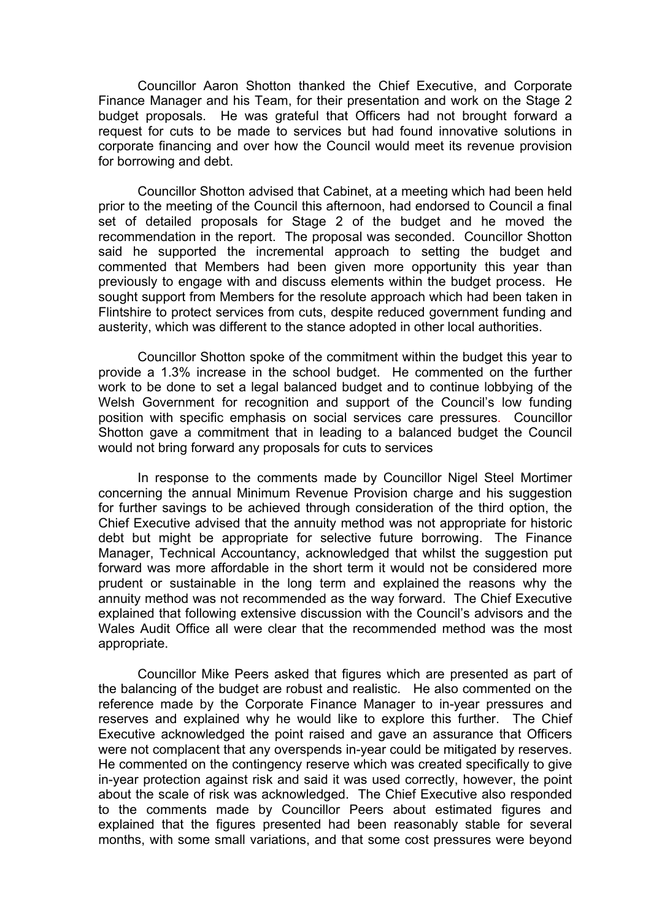Councillor Aaron Shotton thanked the Chief Executive, and Corporate Finance Manager and his Team, for their presentation and work on the Stage 2 budget proposals. He was grateful that Officers had not brought forward a request for cuts to be made to services but had found innovative solutions in corporate financing and over how the Council would meet its revenue provision for borrowing and debt.

Councillor Shotton advised that Cabinet, at a meeting which had been held prior to the meeting of the Council this afternoon, had endorsed to Council a final set of detailed proposals for Stage 2 of the budget and he moved the recommendation in the report. The proposal was seconded. Councillor Shotton said he supported the incremental approach to setting the budget and commented that Members had been given more opportunity this year than previously to engage with and discuss elements within the budget process. He sought support from Members for the resolute approach which had been taken in Flintshire to protect services from cuts, despite reduced government funding and austerity, which was different to the stance adopted in other local authorities.

Councillor Shotton spoke of the commitment within the budget this year to provide a 1.3% increase in the school budget. He commented on the further work to be done to set a legal balanced budget and to continue lobbying of the Welsh Government for recognition and support of the Council's low funding position with specific emphasis on social services care pressures. Councillor Shotton gave a commitment that in leading to a balanced budget the Council would not bring forward any proposals for cuts to services

In response to the comments made by Councillor Nigel Steel Mortimer concerning the annual Minimum Revenue Provision charge and his suggestion for further savings to be achieved through consideration of the third option, the Chief Executive advised that the annuity method was not appropriate for historic debt but might be appropriate for selective future borrowing. The Finance Manager, Technical Accountancy, acknowledged that whilst the suggestion put forward was more affordable in the short term it would not be considered more prudent or sustainable in the long term and explained the reasons why the annuity method was not recommended as the way forward. The Chief Executive explained that following extensive discussion with the Council's advisors and the Wales Audit Office all were clear that the recommended method was the most appropriate.

Councillor Mike Peers asked that figures which are presented as part of the balancing of the budget are robust and realistic. He also commented on the reference made by the Corporate Finance Manager to in-year pressures and reserves and explained why he would like to explore this further. The Chief Executive acknowledged the point raised and gave an assurance that Officers were not complacent that any overspends in-year could be mitigated by reserves. He commented on the contingency reserve which was created specifically to give in-year protection against risk and said it was used correctly, however, the point about the scale of risk was acknowledged. The Chief Executive also responded to the comments made by Councillor Peers about estimated figures and explained that the figures presented had been reasonably stable for several months, with some small variations, and that some cost pressures were beyond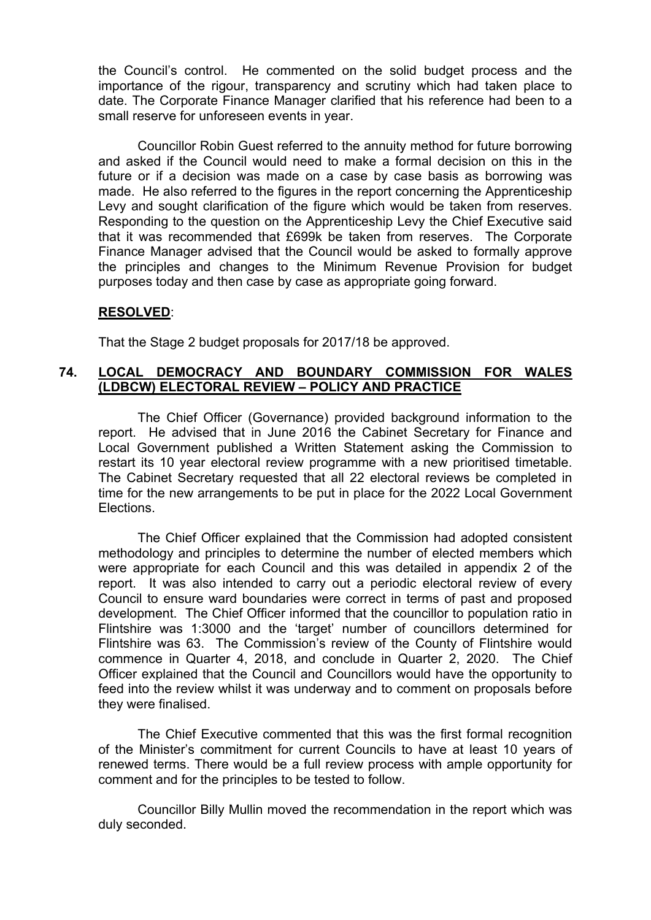the Council's control. He commented on the solid budget process and the importance of the rigour, transparency and scrutiny which had taken place to date. The Corporate Finance Manager clarified that his reference had been to a small reserve for unforeseen events in year.

Councillor Robin Guest referred to the annuity method for future borrowing and asked if the Council would need to make a formal decision on this in the future or if a decision was made on a case by case basis as borrowing was made. He also referred to the figures in the report concerning the Apprenticeship Levy and sought clarification of the figure which would be taken from reserves. Responding to the question on the Apprenticeship Levy the Chief Executive said that it was recommended that £699k be taken from reserves. The Corporate Finance Manager advised that the Council would be asked to formally approve the principles and changes to the Minimum Revenue Provision for budget purposes today and then case by case as appropriate going forward.

### **RESOLVED**:

That the Stage 2 budget proposals for 2017/18 be approved.

### **74. LOCAL DEMOCRACY AND BOUNDARY COMMISSION FOR WALES (LDBCW) ELECTORAL REVIEW – POLICY AND PRACTICE**

The Chief Officer (Governance) provided background information to the report. He advised that in June 2016 the Cabinet Secretary for Finance and Local Government published a Written Statement asking the Commission to restart its 10 year electoral review programme with a new prioritised timetable. The Cabinet Secretary requested that all 22 electoral reviews be completed in time for the new arrangements to be put in place for the 2022 Local Government Elections.

The Chief Officer explained that the Commission had adopted consistent methodology and principles to determine the number of elected members which were appropriate for each Council and this was detailed in appendix 2 of the report. It was also intended to carry out a periodic electoral review of every Council to ensure ward boundaries were correct in terms of past and proposed development. The Chief Officer informed that the councillor to population ratio in Flintshire was 1:3000 and the 'target' number of councillors determined for Flintshire was 63. The Commission's review of the County of Flintshire would commence in Quarter 4, 2018, and conclude in Quarter 2, 2020. The Chief Officer explained that the Council and Councillors would have the opportunity to feed into the review whilst it was underway and to comment on proposals before they were finalised.

The Chief Executive commented that this was the first formal recognition of the Minister's commitment for current Councils to have at least 10 years of renewed terms. There would be a full review process with ample opportunity for comment and for the principles to be tested to follow.

Councillor Billy Mullin moved the recommendation in the report which was duly seconded.